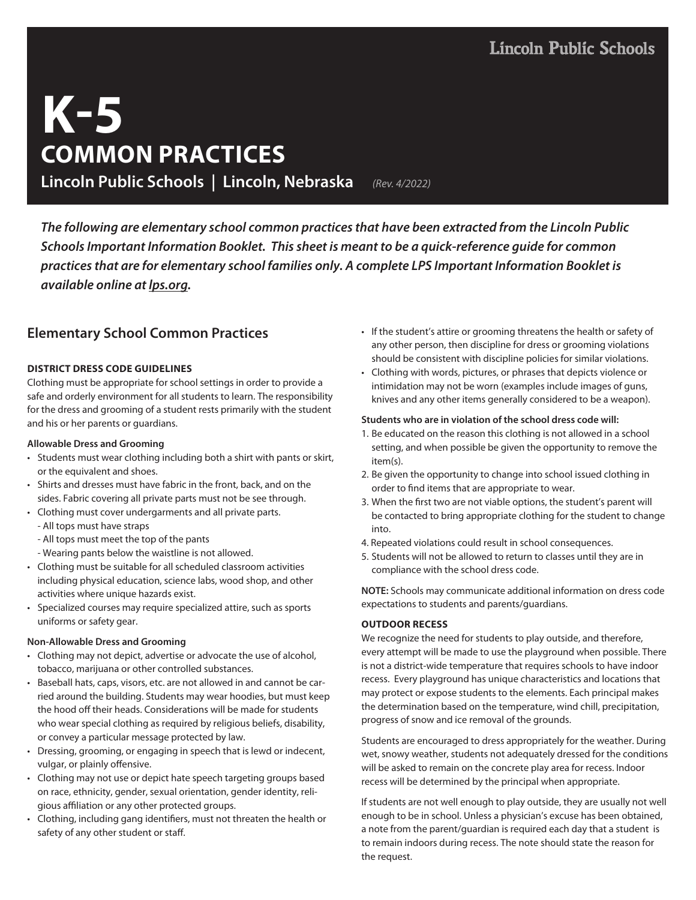# **K-5 COMMON PRACTICES Lincoln Public Schools | Lincoln, Nebraska** *(Rev. 4/2022)*

*The following are elementary school common practices that have been extracted from the Lincoln Public Schools Important Information Booklet. This sheet is meant to be a quick-reference guide for common practices that are for elementary school families only. A complete LPS Important Information Booklet is available online at lps.org.*

# **Elementary School Common Practices**

# **DISTRICT DRESS CODE GUIDELINES**

Clothing must be appropriate for school settings in order to provide a safe and orderly environment for all students to learn. The responsibility for the dress and grooming of a student rests primarily with the student and his or her parents or guardians.

# **Allowable Dress and Grooming**

- Students must wear clothing including both a shirt with pants or skirt, or the equivalent and shoes.
- Shirts and dresses must have fabric in the front, back, and on the sides. Fabric covering all private parts must not be see through.
- Clothing must cover undergarments and all private parts.
	- All tops must have straps
	- All tops must meet the top of the pants
	- Wearing pants below the waistline is not allowed.
- Clothing must be suitable for all scheduled classroom activities including physical education, science labs, wood shop, and other activities where unique hazards exist.
- Specialized courses may require specialized attire, such as sports uniforms or safety gear.

# **Non-Allowable Dress and Grooming**

- Clothing may not depict, advertise or advocate the use of alcohol, tobacco, marijuana or other controlled substances.
- Baseball hats, caps, visors, etc. are not allowed in and cannot be carried around the building. Students may wear hoodies, but must keep the hood off their heads. Considerations will be made for students who wear special clothing as required by religious beliefs, disability, or convey a particular message protected by law.
- Dressing, grooming, or engaging in speech that is lewd or indecent, vulgar, or plainly offensive.
- Clothing may not use or depict hate speech targeting groups based on race, ethnicity, gender, sexual orientation, gender identity, religious affiliation or any other protected groups.
- Clothing, including gang identifiers, must not threaten the health or safety of any other student or staff.
- If the student's attire or grooming threatens the health or safety of any other person, then discipline for dress or grooming violations should be consistent with discipline policies for similar violations.
- Clothing with words, pictures, or phrases that depicts violence or intimidation may not be worn (examples include images of guns, knives and any other items generally considered to be a weapon).

### **Students who are in violation of the school dress code will:**

- 1. Be educated on the reason this clothing is not allowed in a school setting, and when possible be given the opportunity to remove the item(s).
- 2. Be given the opportunity to change into school issued clothing in order to find items that are appropriate to wear.
- 3. When the first two are not viable options, the student's parent will be contacted to bring appropriate clothing for the student to change into.
- 4. Repeated violations could result in school consequences.
- 5. Students will not be allowed to return to classes until they are in compliance with the school dress code.

**NOTE:** Schools may communicate additional information on dress code expectations to students and parents/guardians.

# **OUTDOOR RECESS**

We recognize the need for students to play outside, and therefore, every attempt will be made to use the playground when possible. There is not a district-wide temperature that requires schools to have indoor recess. Every playground has unique characteristics and locations that may protect or expose students to the elements. Each principal makes the determination based on the temperature, wind chill, precipitation, progress of snow and ice removal of the grounds.

Students are encouraged to dress appropriately for the weather. During wet, snowy weather, students not adequately dressed for the conditions will be asked to remain on the concrete play area for recess. Indoor recess will be determined by the principal when appropriate.

If students are not well enough to play outside, they are usually not well enough to be in school. Unless a physician's excuse has been obtained, a note from the parent/guardian is required each day that a student is to remain indoors during recess. The note should state the reason for the request.